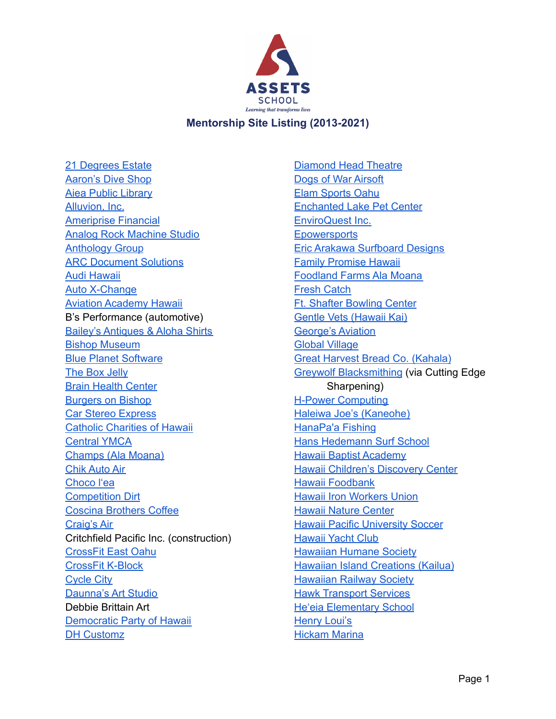

21 [Degrees](https://21degreesestate.com/) Estate [Aaron's](https://www.aaronsdiveshop.com/) Dive Shop Aiea Public [Library](https://www.librarieshawaii.org/branch/aiea-public-library/) [Alluvion,](https://www.alluvionhi.com/) Inc. [Ameriprise](https://www.ameriprise.com/) Financial Analog Rock [Machine](https://analogrockmachinestudio.com/) Studio [Anthology](https://www.anthologygroup.com/) Group ARC [Document](https://www.e-arc.com/) Solutions Audi [Hawaii](https://www.audihonolulu.com/) Auto [X-Change](https://www.autoxchangeinc.com/) Aviation [Academy](https://www.aviationacademyhi.com/) Hawaii B's Performance (automotive) Bailey's [Antiques](http://alohashirts.com/) & Aloha Shirts Bishop [Museum](https://www.bishopmuseum.org/) Blue Planet [Software](https://blueplanetsoftware.com/) The Box [Jelly](https://www.theboxjelly.com/) Brain Health [Center](https://brainhealthhawaii.com/) [Burgers](https://www.burgersonbishop.com/) on Bishop Car Stereo [Express](http://www.csesounds.com/) Catholic [Charities](https://www.catholiccharitieshawaii.org/) of Hawaii [Central](https://www.ymcahonolulu.org/locations/central) YMCA [Champs](https://stores.champssports.com/us/hi/honolulu/1450-ala-moana-blvd) (Ala Moana) Chik [Auto](https://chiksautoair.com/) Air [Choco](https://www.chocolea.com/) l'ea [Competition](http://www.powersportstv.com/dealers/8086713737/Competition-Dirt/) Dirt Coscina [Brothers](https://www.yelp.com/biz/coscina-brothers-coffee-honolulu-2) Coffee [Craig's](http://www.craigsair.com/) Air Critchfield Pacific Inc. (construction) [CrossFit](http://crossfiteastoahuhawaii.com/) East Oahu [CrossFit](https://www.facebook.com/crossfitkblock/) K-Block [Cycle](https://www.cyclecityltd.com/) City [Daunna's](https://daunnasartstudio.com/) Art Studio Debbie Brittain Art [Democratic](https://www.hawaiidemocrats.org/) Party of Hawaii DH [Customz](https://www.dhcustomz.com/)

[Diamond](https://www.diamondheadtheatre.com/) Head Theatre Dogs of War [Airsoft](https://www.dogsofwar808.com/) Elam [Sports](https://www.elamsportsoahu.com/) Oahu [Enchanted](https://www.enchantedlakepet.com/) Lake Pet Center [EnviroQuest](https://www.enviroquestinc.com/) Inc. **[Epowersports](https://www.facebook.com/epowersports)** Eric Arakawa [Surfboard](https://arakawasurfboards.com/) Designs Family [Promise](https://www.familypromisehawaii.org/) Hawaii [Foodland](https://www.foodland.com/about-foodland-farms-ala-moana) Farms Ala Moana Fresh [Catch](https://www.yelp.com/biz/fresh-catch-honolulu-2) Ft. Shafter [Bowling](https://hawaii.armymwr.com/programs/fort-shafter-bowling-center) Center Gentle Vets [\(Hawaii](https://vcahospitals.com/gentle-vets) Kai) [George's](https://www.georgesaviation.com/) Aviation Global [Village](https://globalvillagekailua.com/) Great Harvest Bread Co. [\(Kahala\)](http://greatharvesthonolulu.com/) Greywolf [Blacksmithing](https://hanahou.com/11.3/man-of-steel) (via Cutting Edge Sharpening) H-Power [Computing](https://www.hpowercomputing.com/) Haleiwa Joe's [\(Kaneohe\)](https://www.haleiwajoes.com/kaneohe-menu) [HanaPa'a](https://www.hanapaafishing.com/) Fishing Hans [Hedemann](https://hhsurf.com/) Surf School Hawaii Baptist [Academy](https://www.hba.net/) Hawaii [Children's](http://discoverycenterhawaii.org/) Discovery Center Hawaii [Foodbank](https://hawaiifoodbank.org/) Hawaii Iron [Workers](http://www.ironworkers.org/get-involved/find-a-local?u=215) Union Hawaii Nature [Center](https://hawaiinaturecenter.org/) Hawaii Pacific [University](https://hpusharks.com/sports/mens-soccer) Soccer **[Hawaii](https://www.hawaiiyachtclub.org/) Yacht Club** [Hawaiian](https://hawaiianhumane.org/) Humane Society Hawaiian Island [Creations](https://hicsurf.com/stores/hic-kailua/) (Kailua) [Hawaiian](http://www.hawaiianrailway.com/) Railway Society **Hawk [Transport](https://m.facebook.com/Hawk-Transport-Services-LLC-100493111782625/?ref=page_internal) Services** He'eia [Elementary](https://www.heeiahawks.org/) School [Henry](https://henrylouis.net/) Loui's [Hickam](https://jbphh.greatlifehawaii.com/rec/outdoor-recreation/hickam-harbor-recreation-odr) Marina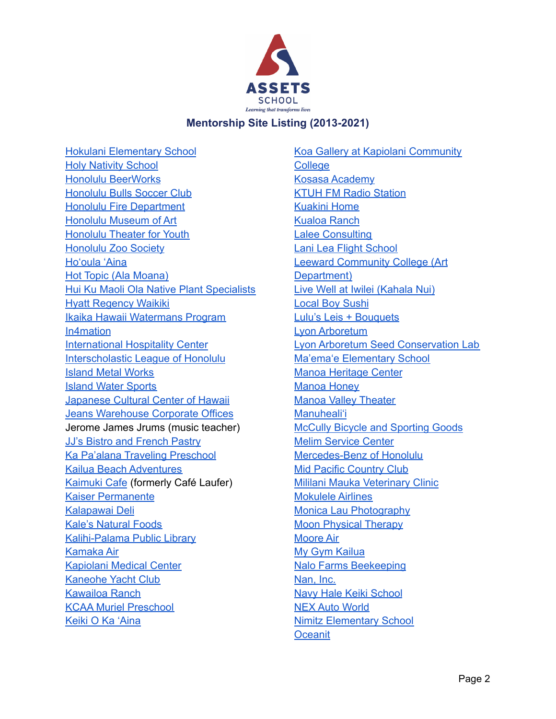

Hokulani [Elementary](https://www.hokulani-elementary.com/) School Holy [Nativity](https://www.holynativityschool.org/) School Honolulu [BeerWorks](https://www.honolulubeerworks.com/) [Honolulu](https://honolulubulls.org/) Bulls Soccer Club Honolulu Fire [Department](https://fire.honolulu.gov/) [Honolulu](https://honolulumuseum.org/) Museum of Art [Honolulu](https://www.htyweb.org/) Theater for Youth [Honolulu](https://www.honoluluzoo.org/) Zoo Society [Ho'oula](https://www.kkv.net/hooulu) 'Aina Hot Topic (Ala [Moana\)](https://www.hottopic.com/store-details?StoreID=0205) Hui Ku Maoli Ola Native Plant [Specialists](https://hawaiiannativeplants.com/) Hyatt [Regency](https://www.hyatt.com/en-US/hotel/hawaii/hyatt-regency-waikiki-beach-resort-and-spa/hnlrw) Waikiki Ikaika Hawaii [Watermans](https://www.ikaikahawaii.com/) Program [In4mation](https://www.in4mation.co/) [International](http://www.ihchawaii.org/) Hospitality Center [Interscholastic](http://ilhsports.com/) League of Honolulu Island Metal [Works](https://www.manta.com/c/mkkt9nd/island-metal-works) Island Water [Sports](https://islandwatersportshawaii.com/) [Japanese](https://www.jcch.com/) Cultural Center of Hawaii Jeans [Warehouse](https://www.jeanswarehousehawaii.com/) Corporate Offices Jerome James Jrums (music teacher) JJ's Bistro and [French](http://www.jjfrenchpastry.com/) Pastry Ka Pa'alana Traveling [Preschool](https://pidf.org/kapaalana/) Kailua Beach [Adventures](https://www.kailuabeachadventures.com/) [Kaimuki](http://kaimukicafe.com/) Cafe (formerly Café Laufer) Kaiser [Permanente](http://kaimukicafe.com/) [Kalapawai](https://kalapawaimarket.com/) Deli Kale's [Natural](https://www.facebook.com/kalesnatfoods/) Foods [Kalihi-Palama](https://www.librarieshawaii.org/branch/kalihi-palama-public-library/) Public Library [Kamaka](https://www.kamakaair.com/#) Air [Kapiolani](https://www.hawaiipacifichealth.org/kapiolani/) Medical Center [Kaneohe](https://www.yelp.com/biz/kaneohe-yacht-club-kaneohe) Yacht Club [Kawailoa](https://www.facebook.com/kawailoaranch/) Ranch KCAA Muriel [Preschool](https://kcaapreschools.org/muriel-preschool-kakaako/) Keiki O Ka ['Aina](https://www.koka.org/)

Koa Gallery at Kapiolani [Community](https://www.kapiolani.hawaii.edu/project/koa-gallery/) [College](https://www.kapiolani.hawaii.edu/project/koa-gallery/) Kosasa [Academy](http://www.kosasa.org/) KTUH FM Radio [Station](https://ktuh.org/) [Kuakini](https://www.kuakini.org/wps/portal/public/Programs-Services/Geriatric-Care-Services/kuakini-home-accepting-new-residents) Home [Kualoa](https://www.kualoa.com/) Ranch Lalee [Consulting](https://www.facebook.com/LaleeConsulting) Lani Lea Flight [School](https://www.lanileaaviation.com/) Leeward [Community](http://www.leeward.hawaii.edu/the-arts) College (Art [Department\)](http://www.leeward.hawaii.edu/the-arts) Live Well at Iwilei [\(Kahala](http://livewellhi.org/) Nui) Local Boy [Sushi](https://www.localboysushi.com/) Lulu's Leis + [Bouquets](https://lulusleiandbouquets.com/) Lyon [Arboretum](https://manoa.hawaii.edu/lyon/) Lyon Arboretum Seed [Conservation](https://manoa.hawaii.edu/lyon/research/hrpp/) Lab Ma'ema'e [Elementary](https://www.maemaeschool.com/) School Manoa [Heritage](https://www.manoaheritagecenter.org/) Center [Manoa](https://www.manoahoney.com/) Honey Manoa Valley [Theater](https://www.manoavalleytheatre.com/) [Manuheali'i](https://manuhealii.com/) McCully Bicycle and [Sporting](https://www.mccullybike.com/) Goods Melim [Service](https://www.yelp.com/biz/melim-service-center-honolulu) Center [Mercedes-Benz](https://www.mercedesbenzofhonolulu.com/) of Honolulu Mid Pacific [Country](https://www.mpcchi.org/) Club Mililani Mauka [Veterinary](https://mililanivet.com/) Clinic [Mokulele](https://mokuleleairlines.com/) Airlines Monica Lau [Photography](https://monicalauphotography.com/) Moon [Physical](https://moonpt.com/) Therapy [Moore](http://www.mooreair.com/) Air My Gym [Kailua](https://www.mygym.com/kailua) Nalo Farms [Beekeeping](https://www.nalomelihoney.com/) [Nan,](https://www.nanhawaii.com/) Inc. Navy Hale Keiki [School](http://www.nhks.org/) NEX Auto [World](https://www.yelp.com/biz/nex-car-care-center-honolulu) Nimitz [Elementary](https://sites.google.com/k12.hi.us/nimitzeshawaii/home) School **[Oceanit](https://www.oceanit.com/)**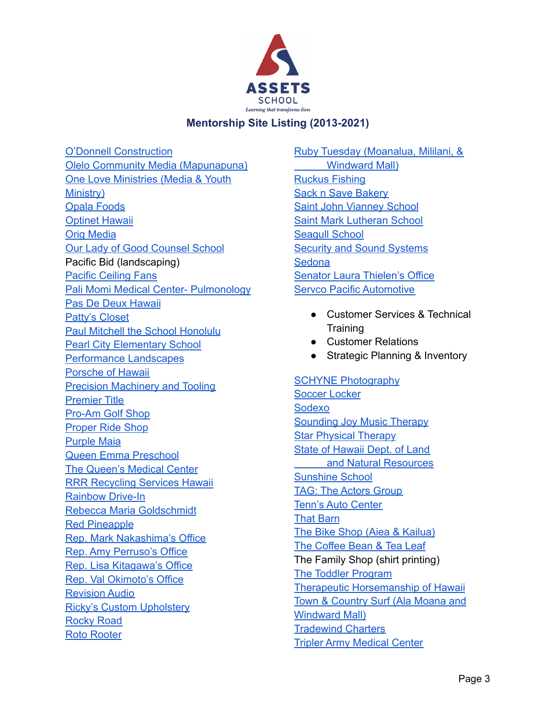

O'Donnell [Construction](https://www.facebook.com/ODonnell-Construction-LLC-109448355765/) Olelo Community Media [\(Mapunapuna\)](https://olelo.org/) One Love [Ministries](https://www.onelove.org/) (Media & Youth [Ministry\)](https://www.onelove.org/) Opala [Foods](https://www.yelp.com/biz/opala-foods-kaneohe) [Optinet](https://www.optinethawaii.com/) Hawaii Orig [Media](https://origmedia.com/) Our Lady of Good [Counsel](https://www.olgchawaii.org/) School Pacific Bid (landscaping) Pacific [Ceiling](https://www.pacificceilingfans.com/) Fans Pali Momi Medical Center- [Pulmonology](https://www.hawaiipacifichealth.org/pali-momi/services/chest-lung-health/) Pas De Deux [Hawaii](https://pddhi.blogspot.com/) [Patty's](https://www.yelp.com/biz/pattys-closet-pearl-city) Closet Paul Mitchell the School [Honolulu](https://paulmitchell.edu/honolulu) Pearl City [Elementary](https://www.pearlcity-es.org/) School [Performance](http://www.performancels.com/) Landscapes [Porsche](https://www.porschehawaii.com/) of Hawaii **Precision [Machinery](http://www.ptengineeringllc.com/) and Tooling** [Premier](https://premiertitlehawaii.com/) Title [Pro-Am](https://www.proamgolfhawaii.com/) Golf Shop [Proper](https://properrideshop.com/) Ride Shop [Purple](https://properrideshop.com/) Maia Queen Emma [Preschool](https://www.standrewsschools.org/academics/preschool-2-5-yrs) The [Queen's](https://www.queens.org/) Medical Center RRR [Recycling](https://rrrserviceshawaii.com/) Services Hawaii [Rainbow](https://rainbowdrivein.com/) Drive-In Rebecca Maria [Goldschmidt](https://www.rrrebecca.com/) Red [Pineapple](https://redpineapple.net/) Rep. Mark [Nakashima's](https://www.capitol.hawaii.gov/memberpage.aspx?member=nakashima&year=2021) Office Rep. Amy [Perruso's](https://www.capitol.hawaii.gov/memberpage.aspx?member=perruso) Office Rep. Lisa [Kitagawa's](https://www.capitol.hawaii.gov/memberpage.aspx?member=Kitagawa&year=2021) Office Rep. Val [Okimoto's](https://www.capitol.hawaii.gov/memberpage.aspx?member=okimoto) Office [Revision](https://www.instagram.com/revisionaudio_samson/?hl=en) Audio Ricky's Custom [Upholstery](https://www.yelp.com/biz/rickys-custom-upholstery-honolulu) [Rocky](https://www.midweek.com/a-rocky-road-story-from-eggs-to-pasta/) Road Roto [Rooter](https://www.rotorooter.com/)

- Ruby Tuesday [\(Moanalua,](https://www.rubytuesdayhawaii.com/menu/) Mililani, & [Windward](https://www.rubytuesdayhawaii.com/menu/) Mall) [Ruckus](https://ruckusfishinganddiving.com/) Fishing **Sack n Save [Bakery](https://www.yelp.com/biz/sack-n-save-honolulu)** Saint John [Vianney](http://www.sjvkailua.org/) School Saint Mark [Lutheran](https://www.smls-hawaii.org/) School [Seagull](https://www.seagullschools.org/) School **Security and Sound [Systems](https://www.securityandsoundsystems.com/) [Sedona](https://visitsedona.com/)** Senator Laura [Thielen's](https://www.capitol.hawaii.gov/memberpage.aspx?member=lthielen) Office Servco Pacific [Automotive](https://www.servco.com/)
	- Customer Services & Technical **Training**
	- Customer Relations
	- Strategic Planning & Inventory

SCHYNE [Photography](http://schyne.com/) [Soccer](https://soccerlockerhawaii.info/) Locker [Sodexo](https://uhm.sodexomyway.com/) [Sounding](http://soundingjoymt.org/web/) Joy Music Therapy Star [Physical](https://www.starpt.com/) Therapy State of [Hawaii](https://dlnr.hawaii.gov/) Dept. of Land and Natural [Resources](https://dlnr.hawaii.gov/) [Sunshine](https://www.sunshineschoolkailua.com/) School TAG: The [Actors](https://www.taghawaii.net/) Group Tenn's Auto [Center](https://www.tennsautocenter.com/) That [Barn](https://www.instagram.com/kupanahaproducts/?hl=en) The Bike Shop (Aiea & [Kailua\)](https://www.bikeshophawaii.com/) The [Coffee](http://coffeebeanhawaii.com/) Bean & Tea Leaf The Family Shop (shirt printing) The Toddler [Program](https://thetoddlerprogram.org/) Therapeutic [Horsemanship](https://www.thhwaimanalo.org/) of Hawaii Town & [Country](https://www.tcsurf.com/) Surf (Ala Moana and [Windward](https://www.tcsurf.com/) Mall) **[Tradewind](https://www.tradewindcharters.com/) Charters** Tripler Army [Medical](https://tripler.tricare.mil/) Center